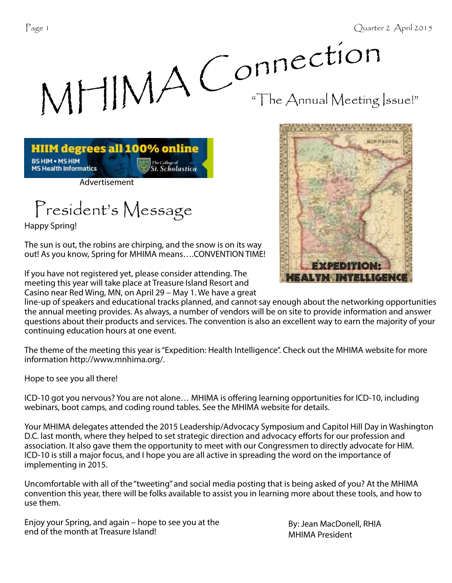



Advertisement

President's Message

Happy Spring!

The sun is out, the robins are chirping, and the snow is on its way out! As you know, Spring for MHIMA means….CONVENTION TIME!

If you have not registered yet, please consider attending. The meeting this year will take place at Treasure Island Resort and Casino near Red Wing, MN, on April 29 – May 1. We have a great



line-up of speakers and educational tracks planned, and cannot say enough about the networking opportunities the annual meeting provides. As always, a number of vendors will be on site to provide information and answer questions about their products and services. The convention is also an excellent way to earn the majority of your continuing education hours at one event.

The theme of the meeting this year is "Expedition: Health Intelligence". Check out the MHIMA website for more information http://www.mnhima.org/.

Hope to see you all there!

ICD-10 got you nervous? You are not alone... MHIMA is offering learning opportunities for ICD-10, including webinars, boot camps, and coding round tables. See the MHIMA website for details.

Your MHIMA delegates attended the 2015 Leadership/Advocacy Symposium and Capitol Hill Day in Washington D.C. last month, where they helped to set strategic direction and advocacy efforts for our profession and association. It also gave them the opportunity to meet with our Congressmen to directly advocate for HIM. ICD-10 is still a major focus, and I hope you are all active in spreading the word on the importance of implementing in 2015.

Uncomfortable with all of the "tweeting" and social media posting that is being asked of you? At the MHIMA convention this year, there will be folks available to assist you in learning more about these tools, and how to use them.

Enjoy your Spring, and again – hope to see you at the By: Jean MacDonell, RHIA<br>end of the month at Treasure Island!

MHIMA President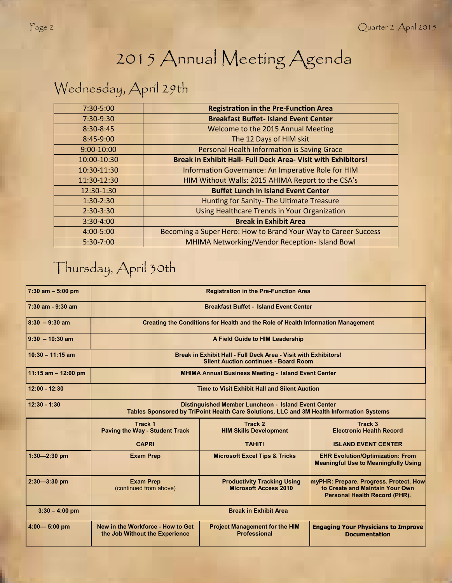# 2015 Annual Meeting Agenda

# Wednesday, April 29th

| 7:30-5:00   | <b>Registration in the Pre-Function Area</b>                   |  |  |  |
|-------------|----------------------------------------------------------------|--|--|--|
| 7:30-9:30   | <b>Breakfast Buffet-Island Event Center</b>                    |  |  |  |
| 8:30-8:45   | Welcome to the 2015 Annual Meeting                             |  |  |  |
| 8:45-9:00   | The 12 Days of HIM skit                                        |  |  |  |
| 9:00-10:00  | Personal Health Information is Saving Grace                    |  |  |  |
| 10:00-10:30 | Break in Exhibit Hall- Full Deck Area- Visit with Exhibitors!  |  |  |  |
| 10:30-11:30 | Information Governance: An Imperative Role for HIM             |  |  |  |
| 11:30-12:30 | HIM Without Walls: 2015 AHIMA Report to the CSA's              |  |  |  |
| 12:30-1:30  | <b>Buffet Lunch in Island Event Center</b>                     |  |  |  |
| $1:30-2:30$ | Hunting for Sanity- The Ultimate Treasure                      |  |  |  |
| $2:30-3:30$ | Using Healthcare Trends in Your Organization                   |  |  |  |
| $3:30-4:00$ | <b>Break in Exhibit Area</b>                                   |  |  |  |
| 4:00-5:00   | Becoming a Super Hero: How to Brand Your Way to Career Success |  |  |  |
| $5:30-7:00$ | MHIMA Networking/Vendor Reception- Island Bowl                 |  |  |  |

### Thursday, April 30th

| $7:30$ am $-5:00$ pm  | <b>Registration in the Pre-Function Area</b>                                                                                                     |                                                                    |                                                                                                            |  |  |  |  |
|-----------------------|--------------------------------------------------------------------------------------------------------------------------------------------------|--------------------------------------------------------------------|------------------------------------------------------------------------------------------------------------|--|--|--|--|
| $7:30$ am - 9:30 am   | <b>Breakfast Buffet - Island Event Center</b>                                                                                                    |                                                                    |                                                                                                            |  |  |  |  |
| $8:30 - 9:30$ am      | <b>Creating the Conditions for Health and the Role of Health Information Management</b>                                                          |                                                                    |                                                                                                            |  |  |  |  |
| $9:30 - 10:30$ am     | A Field Guide to HIM Leadership                                                                                                                  |                                                                    |                                                                                                            |  |  |  |  |
| $10:30 - 11:15$ am    | Break in Exhibit Hall - Full Deck Area - Visit with Exhibitors!<br><b>Silent Auction continues - Board Room</b>                                  |                                                                    |                                                                                                            |  |  |  |  |
| 11:15 am $-$ 12:00 pm | <b>MHIMA Annual Business Meeting - Island Event Center</b>                                                                                       |                                                                    |                                                                                                            |  |  |  |  |
| $12:00 - 12:30$       | Time to Visit Exhibit Hall and Silent Auction                                                                                                    |                                                                    |                                                                                                            |  |  |  |  |
| $12:30 - 1:30$        | Distinguished Member Luncheon - Island Event Center<br>Tables Sponsored by TriPoint Health Care Solutions, LLC and 3M Health Information Systems |                                                                    |                                                                                                            |  |  |  |  |
|                       | Track 1<br><b>Paving the Way - Student Track</b>                                                                                                 | Track 2<br><b>HIM Skills Development</b>                           | Track <sub>3</sub><br><b>Electronic Health Record</b>                                                      |  |  |  |  |
|                       | <b>CAPRI</b>                                                                                                                                     | <b>TAHITI</b>                                                      | <b>ISLAND EVENT CENTER</b>                                                                                 |  |  |  |  |
| $1:30 - 2:30$ pm      | <b>Exam Prep</b>                                                                                                                                 | <b>Microsoft Excel Tips &amp; Tricks</b>                           | <b>EHR Evolution/Optimization: From</b><br><b>Meaningful Use to Meaningfully Using</b>                     |  |  |  |  |
| $2:30 - 3:30$ pm      | <b>Exam Prep</b><br>(continued from above)                                                                                                       | <b>Productivity Tracking Using</b><br><b>Microsoft Access 2010</b> | myPHR: Prepare. Progress. Protect. How<br>to Create and Maintain Your Own<br>Personal Health Record (PHR). |  |  |  |  |
| $3:30 - 4:00$ pm      | <b>Break in Exhibit Area</b>                                                                                                                     |                                                                    |                                                                                                            |  |  |  |  |
| $4:00 - 5:00$ pm      | New in the Workforce - How to Get<br>the Job Without the Experience                                                                              | <b>Project Management for the HIM</b><br><b>Professional</b>       | <b>Engaging Your Physicians to Improve</b><br><b>Documentation</b>                                         |  |  |  |  |

I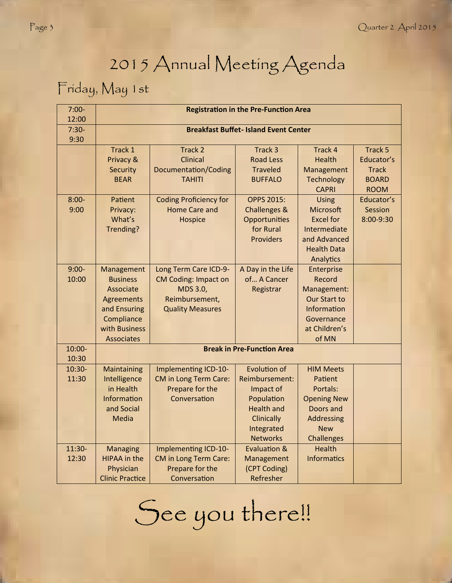# 2015 Annual Meeting Agenda

### Friday, May 1st

| $7:00-$<br>12:00  | <b>Registration in the Pre-Function Area</b> |                                 |                                       |                                    |              |  |  |
|-------------------|----------------------------------------------|---------------------------------|---------------------------------------|------------------------------------|--------------|--|--|
| $7:30-$<br>9:30   | <b>Breakfast Buffet-Island Event Center</b>  |                                 |                                       |                                    |              |  |  |
|                   | Track 1                                      | Track 2                         | Track 3                               | Track 4                            | Track 5      |  |  |
|                   | Privacy &                                    | <b>Clinical</b>                 | <b>Road Less</b>                      | <b>Health</b>                      | Educator's   |  |  |
|                   | Security                                     | <b>Documentation/Coding</b>     | <b>Traveled</b>                       | Management                         | <b>Track</b> |  |  |
|                   | <b>BEAR</b>                                  | <b>TAHITI</b>                   | <b>BUFFALO</b>                        | Technology                         | <b>BOARD</b> |  |  |
|                   |                                              |                                 |                                       | <b>CAPRI</b>                       | <b>ROOM</b>  |  |  |
| $8:00-$           | Patient                                      | <b>Coding Proficiency for</b>   | <b>OPPS 2015:</b>                     | <b>Using</b>                       | Educator's   |  |  |
| 9:00              | Privacy:                                     | <b>Home Care and</b>            | Challenges &                          | <b>Microsoft</b>                   | Session      |  |  |
|                   | What's                                       | Hospice                         | Opportunities                         | <b>Excel for</b>                   | 8:00-9:30    |  |  |
|                   | Trending?                                    |                                 | for Rural                             | Intermediate                       |              |  |  |
|                   |                                              |                                 | <b>Providers</b>                      | and Advanced                       |              |  |  |
|                   |                                              |                                 |                                       | <b>Health Data</b>                 |              |  |  |
|                   |                                              |                                 |                                       | Analytics                          |              |  |  |
| $9:00-$           | Management                                   | Long Term Care ICD-9-           | A Day in the Life                     | Enterprise                         |              |  |  |
| 10:00             | <b>Business</b>                              | <b>CM Coding: Impact on</b>     | of A Cancer                           | Record                             |              |  |  |
|                   | Associate                                    | MDS 3.0,                        | Registrar                             | Management:                        |              |  |  |
|                   | <b>Agreements</b>                            | Reimbursement,                  |                                       | <b>Our Start to</b>                |              |  |  |
|                   | and Ensuring                                 | <b>Quality Measures</b>         |                                       | Information                        |              |  |  |
|                   | Compliance                                   |                                 |                                       | Governance                         |              |  |  |
|                   | with Business                                |                                 |                                       | at Children's                      |              |  |  |
|                   | <b>Associates</b>                            |                                 |                                       | of MN                              |              |  |  |
| $10:00 -$         | <b>Break in Pre-Function Area</b>            |                                 |                                       |                                    |              |  |  |
| 10:30             |                                              |                                 |                                       |                                    |              |  |  |
| $10:30-$<br>11:30 | Maintaining                                  | Implementing ICD-10-            | <b>Evolution of</b><br>Reimbursement: | <b>HIM Meets</b>                   |              |  |  |
|                   | Intelligence<br>in Health                    | <b>CM</b> in Long Term Care:    |                                       | Patient<br>Portals:                |              |  |  |
|                   | Information                                  | Prepare for the<br>Conversation | Impact of                             |                                    |              |  |  |
|                   |                                              |                                 | Population                            | <b>Opening New</b>                 |              |  |  |
|                   | and Social                                   |                                 | <b>Health and</b>                     | Doors and                          |              |  |  |
|                   | <b>Media</b>                                 |                                 | Clinically                            | Addressing                         |              |  |  |
|                   |                                              |                                 | Integrated                            | <b>New</b>                         |              |  |  |
| $11:30-$          |                                              |                                 | <b>Networks</b><br>Evaluation &       | <b>Challenges</b><br><b>Health</b> |              |  |  |
| 12:30             | <b>Managing</b><br><b>HIPAA</b> in the       | Implementing ICD-10-            |                                       | <b>Informatics</b>                 |              |  |  |
|                   |                                              | <b>CM</b> in Long Term Care:    | Management                            |                                    |              |  |  |
|                   | Physician                                    | Prepare for the                 | (CPT Coding)                          |                                    |              |  |  |
|                   | <b>Clinic Practice</b>                       | Conversation                    | Refresher                             |                                    |              |  |  |

See you there!!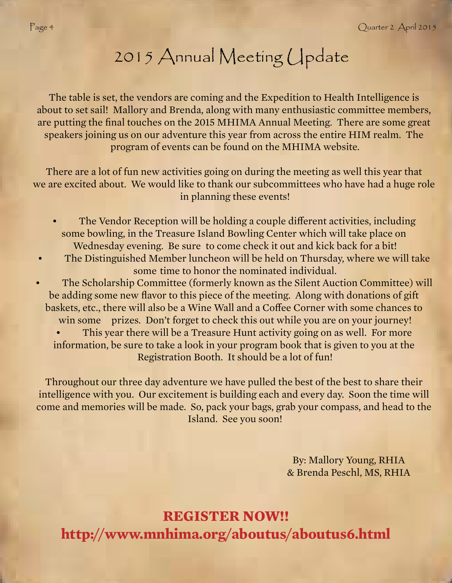# 2015 Annual Meeting Update

The table is set, the vendors are coming and the Expedition to Health Intelligence is about to set sail! Mallory and Brenda, along with many enthusiastic committee members, are putting the final touches on the 2015 MHIMA Annual Meeting. There are some great speakers joining us on our adventure this year from across the entire HIM realm. The program of events can be found on the MHIMA website.

There are a lot of fun new activities going on during the meeting as well this year that we are excited about. We would like to thank our subcommittees who have had a huge role in planning these events!

- The Vendor Reception will be holding a couple different activities, including some bowling, in the Treasure Island Bowling Center which will take place on Wednesday evening. Be sure to come check it out and kick back for a bit!
- The Distinguished Member luncheon will be held on Thursday, where we will take some time to honor the nominated individual.
- The Scholarship Committee (formerly known as the Silent Auction Committee) will be adding some new flavor to this piece of the meeting. Along with donations of gift baskets, etc., there will also be a Wine Wall and a Coffee Corner with some chances to win some prizes. Don't forget to check this out while you are on your journey!
	- This year there will be a Treasure Hunt activity going on as well. For more information, be sure to take a look in your program book that is given to you at the Registration Booth. It should be a lot of fun!

Throughout our three day adventure we have pulled the best of the best to share their intelligence with you. Our excitement is building each and every day. Soon the time will come and memories will be made. So, pack your bags, grab your compass, and head to the Island. See you soon!

> By: Mallory Young, RHIA & Brenda Peschl, MS, RHIA

**REGISTER NOW!! http://www.mnhima.org/aboutus/aboutus6.html**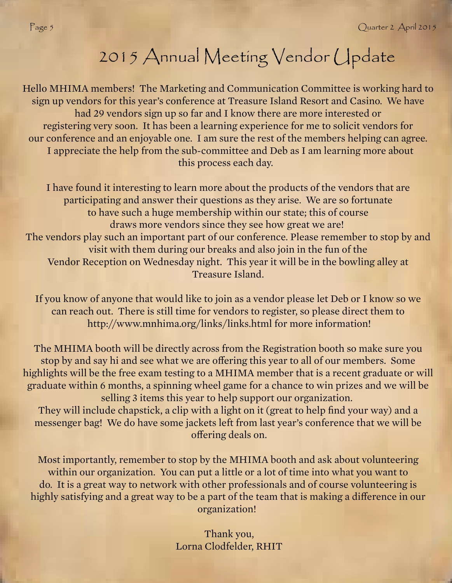# 2015 Annual Meeting Vendor Update

Hello MHIMA members! The Marketing and Communication Committee is working hard to sign up vendors for this year's conference at Treasure Island Resort and Casino. We have had 29 vendors sign up so far and I know there are more interested or registering very soon. It has been a learning experience for me to solicit vendors for our conference and an enjoyable one. I am sure the rest of the members helping can agree. I appreciate the help from the sub-committee and Deb as I am learning more about this process each day.

I have found it interesting to learn more about the products of the vendors that are participating and answer their questions as they arise. We are so fortunate to have such a huge membership within our state; this of course draws more vendors since they see how great we are! The vendors play such an important part of our conference. Please remember to stop by and visit with them during our breaks and also join in the fun of the Vendor Reception on Wednesday night. This year it will be in the bowling alley at Treasure Island.

If you know of anyone that would like to join as a vendor please let Deb or I know so we can reach out. There is still time for vendors to register, so please direct them to http://www.mnhima.org/links/links.html for more information!

The MHIMA booth will be directly across from the Registration booth so make sure you stop by and say hi and see what we are offering this year to all of our members. Some highlights will be the free exam testing to a MHIMA member that is a recent graduate or will graduate within 6 months, a spinning wheel game for a chance to win prizes and we will be selling 3 items this year to help support our organization.

They will include chapstick, a clip with a light on it (great to help find your way) and a messenger bag! We do have some jackets left from last year's conference that we will be offering deals on.

Most importantly, remember to stop by the MHIMA booth and ask about volunteering within our organization. You can put a little or a lot of time into what you want to do. It is a great way to network with other professionals and of course volunteering is highly satisfying and a great way to be a part of the team that is making a difference in our organization!

> Thank you, Lorna Clodfelder, RHIT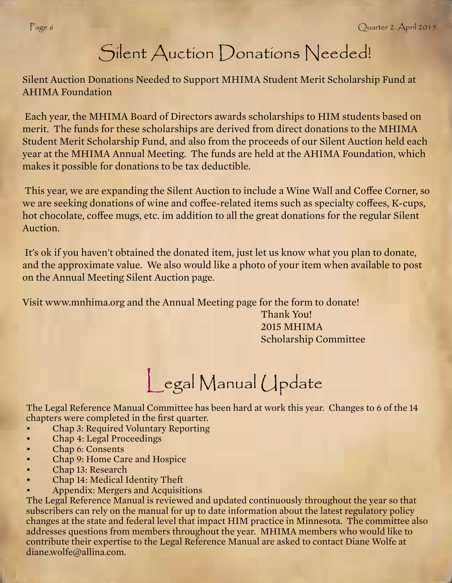### Silent Auction Donations Needed!

Silent Auction Donations Needed to Support MHIMA Student Merit Scholarship Fund at AHIMA Foundation

 Each year, the MHIMA Board of Directors awards scholarships to HIM students based on merit. The funds for these scholarships are derived from direct donations to the MHIMA Student Merit Scholarship Fund, and also from the proceeds of our Silent Auction held each year at the MHIMA Annual Meeting. The funds are held at the AHIMA Foundation, which makes it possible for donations to be tax deductible.

This year, we are expanding the Silent Auction to include a Wine Wall and Coffee Corner, so we are seeking donations of wine and coffee-related items such as specialty coffees, K-cups, hot chocolate, coffee mugs, etc. im addition to all the great donations for the regular Silent Auction.

 It's ok if you haven't obtained the donated item, just let us know what you plan to donate, and the approximate value. We also would like a photo of your item when available to post on the Annual Meeting Silent Auction page.

Visit www.mnhima.org and the Annual Meeting page for the form to donate!

 Thank You! 2015 MHIMA Scholarship Committee

# Legal Manual Update

The Legal Reference Manual Committee has been hard at work this year. Changes to 6 of the 14 chapters were completed in the first quarter.

- Chap 3: Required Voluntary Reporting
- Chap 4: Legal Proceedings
- Chap 6: Consents
- Chap 9: Home Care and Hospice
- Chap 13: Research
- Chap 14: Medical Identity Theft
- Appendix: Mergers and Acquisitions

The Legal Reference Manual is reviewed and updated continuously throughout the year so that subscribers can rely on the manual for up to date information about the latest regulatory policy changes at the state and federal level that impact HIM practice in Minnesota. The committee also addresses questions from members throughout the year. MHIMA members who would like to contribute their expertise to the Legal Reference Manual are asked to contact Diane Wolfe at diane.wolfe@allina.com.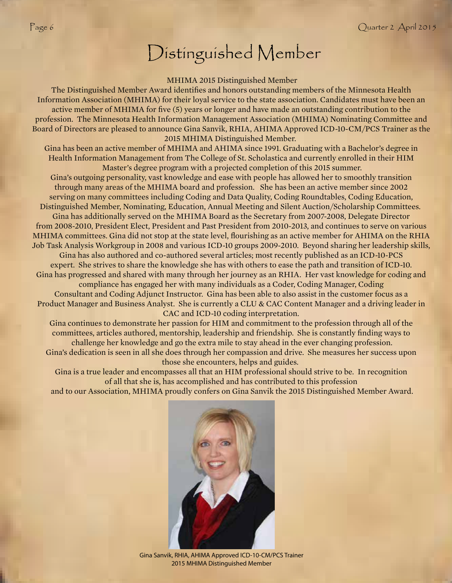## Distinguished Member

#### MHIMA 2015 Distinguished Member

The Distinguished Member Award identifies and honors outstanding members of the Minnesota Health Information Association (MHIMA) for their loyal service to the state association. Candidates must have been an active member of MHIMA for five (5) years or longer and have made an outstanding contribution to the profession. The Minnesota Health Information Management Association (MHIMA) Nominating Committee and Board of Directors are pleased to announce Gina Sanvik, RHIA, AHIMA Approved ICD-10-CM/PCS Trainer as the 2015 MHIMA Distinguished Member.

Gina has been an active member of MHIMA and AHIMA since 1991. Graduating with a Bachelor's degree in Health Information Management from The College of St. Scholastica and currently enrolled in their HIM Master's degree program with a projected completion of this 2015 summer.

Gina's outgoing personality, vast knowledge and ease with people has allowed her to smoothly transition through many areas of the MHIMA board and profession. She has been an active member since 2002 serving on many committees including Coding and Data Quality, Coding Roundtables, Coding Education, Distinguished Member, Nominating, Education, Annual Meeting and Silent Auction/Scholarship Committees. Gina has additionally served on the MHIMA Board as the Secretary from 2007-2008, Delegate Director from 2008-2010, President Elect, President and Past President from 2010-2013, and continues to serve on various MHIMA committees. Gina did not stop at the state level, flourishing as an active member for AHIMA on the RHIA Job Task Analysis Workgroup in 2008 and various ICD-10 groups 2009-2010. Beyond sharing her leadership skills, Gina has also authored and co-authored several articles; most recently published as an ICD-10-PCS

expert. She strives to share the knowledge she has with others to ease the path and transition of ICD-10. Gina has progressed and shared with many through her journey as an RHIA. Her vast knowledge for coding and compliance has engaged her with many individuals as a Coder, Coding Manager, Coding

Consultant and Coding Adjunct Instructor. Gina has been able to also assist in the customer focus as a Product Manager and Business Analyst. She is currently a CLU & CAC Content Manager and a driving leader in CAC and ICD-10 coding interpretation.

Gina continues to demonstrate her passion for HIM and commitment to the profession through all of the committees, articles authored, mentorship, leadership and friendship. She is constantly finding ways to challenge her knowledge and go the extra mile to stay ahead in the ever changing profession. Gina's dedication is seen in all she does through her compassion and drive. She measures her success upon those she encounters, helps and guides.

Gina is a true leader and encompasses all that an HIM professional should strive to be. In recognition of all that she is, has accomplished and has contributed to this profession

and to our Association, MHIMA proudly confers on Gina Sanvik the 2015 Distinguished Member Award.



Gina Sanvik, RHIA, AHIMA Approved ICD-10-CM/PCS Trainer 2015 MHIMA Distinguished Member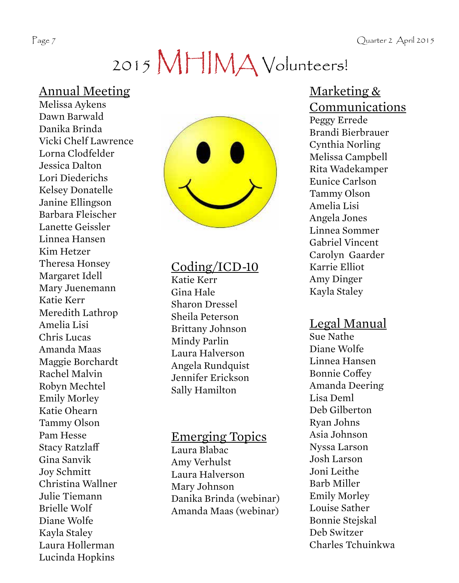Page 7 Quarter 2 April 2015

# 2015 MHIMA Volunteers!

### Annual Meeting

Melissa Aykens Dawn Barwald Danika Brinda Vicki Chelf Lawrence Lorna Clodfelder Jessica Dalton Lori Diederichs Kelsey Donatelle Janine Ellingson Barbara Fleischer Lanette Geissler Linnea Hansen Kim Hetzer Theresa Honsey Margaret Idell Mary Juenemann Katie Kerr Meredith Lathrop Amelia Lisi Chris Lucas Amanda Maas Maggie Borchardt Rachel Malvin Robyn Mechtel Emily Morley Katie Ohearn Tammy Olson Pam Hesse Stacy Ratzla Gina Sanvik Joy Schmitt Christina Wallner Julie Tiemann Brielle Wolf Diane Wolfe Kayla Staley Laura Hollerman Lucinda Hopkins



### Coding/ICD-10

Katie Kerr Gina Hale Sharon Dressel Sheila Peterson Brittany Johnson Mindy Parlin Laura Halverson Angela Rundquist Jennifer Erickson Sally Hamilton

### Emerging Topics

Laura Blabac Amy Verhulst Laura Halverson Mary Johnson Danika Brinda (webinar) Amanda Maas (webinar)

### Marketing & Communications

Peggy Errede Brandi Bierbrauer Cynthia Norling Melissa Campbell Rita Wadekamper Eunice Carlson Tammy Olson Amelia Lisi Angela Jones Linnea Sommer Gabriel Vincent Carolyn Gaarder Karrie Elliot Amy Dinger Kayla Staley

### Legal Manual

Sue Nathe Diane Wolfe Linnea Hansen Bonnie Coffey Amanda Deering Lisa Deml Deb Gilberton Ryan Johns Asia Johnson Nyssa Larson Josh Larson Joni Leithe Barb Miller Emily Morley Louise Sather Bonnie Stejskal Deb Switzer Charles Tchuinkwa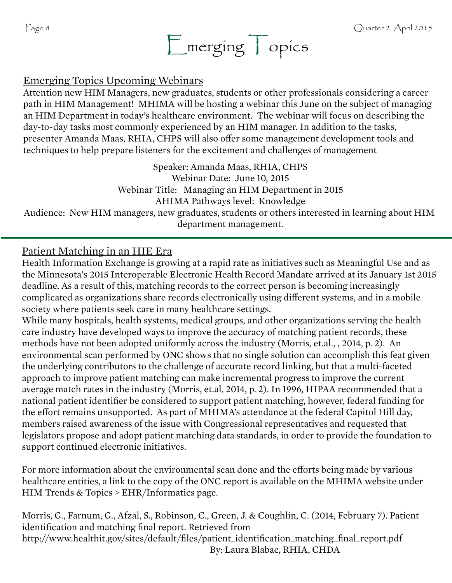

### Emerging Topics Upcoming Webinars

Attention new HIM Managers, new graduates, students or other professionals considering a career path in HIM Management! MHIMA will be hosting a webinar this June on the subject of managing an HIM Department in today's healthcare environment. The webinar will focus on describing the day-to-day tasks most commonly experienced by an HIM manager. In addition to the tasks, presenter Amanda Maas, RHIA, CHPS will also offer some management development tools and techniques to help prepare listeners for the excitement and challenges of management

Speaker: Amanda Maas, RHIA, CHPS Webinar Date: June 10, 2015 Webinar Title: Managing an HIM Department in 2015 AHIMA Pathways level: Knowledge Audience: New HIM managers, new graduates, students or others interested in learning about HIM department management.

### Patient Matching in an HIE Era

Health Information Exchange is growing at a rapid rate as initiatives such as Meaningful Use and as the Minnesota's 2015 Interoperable Electronic Health Record Mandate arrived at its January 1st 2015 deadline. As a result of this, matching records to the correct person is becoming increasingly complicated as organizations share records electronically using different systems, and in a mobile society where patients seek care in many healthcare settings.

While many hospitals, health systems, medical groups, and other organizations serving the health care industry have developed ways to improve the accuracy of matching patient records, these methods have not been adopted uniformly across the industry (Morris, et.al., , 2014, p. 2). An environmental scan performed by ONC shows that no single solution can accomplish this feat given the underlying contributors to the challenge of accurate record linking, but that a multi-faceted approach to improve patient matching can make incremental progress to improve the current average match rates in the industry (Morris, et.al, 2014, p. 2). In 1996, HIPAA recommended that a national patient identifier be considered to support patient matching, however, federal funding for the effort remains unsupported. As part of MHIMA's attendance at the federal Capitol Hill day, members raised awareness of the issue with Congressional representatives and requested that legislators propose and adopt patient matching data standards, in order to provide the foundation to support continued electronic initiatives.

For more information about the environmental scan done and the efforts being made by various healthcare entities, a link to the copy of the ONC report is available on the MHIMA website under HIM Trends & Topics > EHR/Informatics page.

Morris, G., Farnum, G., Afzal, S., Robinson, C., Green, J. & Coughlin, C. (2014, February 7). Patient identification and matching final report. Retrieved from http://www.healthit.gov/sites/default/files/patient\_identification\_matching\_final\_report.pdf By: Laura Blabac, RHIA, CHDA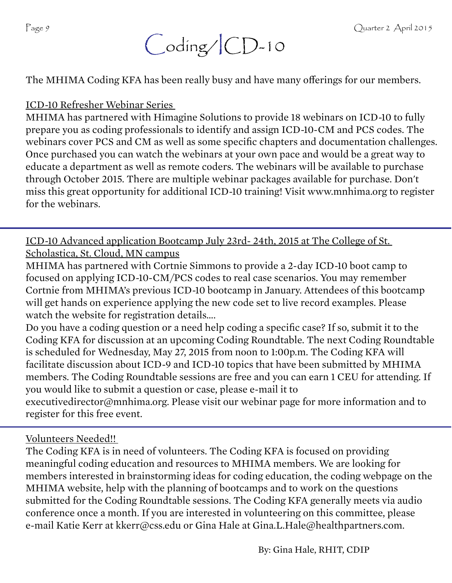

The MHIMA Coding KFA has been really busy and have many offerings for our members.

ICD-10 Refresher Webinar Series

MHIMA has partnered with Himagine Solutions to provide 18 webinars on ICD-10 to fully prepare you as coding professionals to identify and assign ICD-10-CM and PCS codes. The webinars cover PCS and CM as well as some specific chapters and documentation challenges. Once purchased you can watch the webinars at your own pace and would be a great way to educate a department as well as remote coders. The webinars will be available to purchase through October 2015. There are multiple webinar packages available for purchase. Don't miss this great opportunity for additional ICD-10 training! Visit www.mnhima.org to register for the webinars.

ICD-10 Advanced application Bootcamp July 23rd- 24th, 2015 at The College of St. Scholastica, St. Cloud, MN campus

MHIMA has partnered with Cortnie Simmons to provide a 2-day ICD-10 boot camp to focused on applying ICD-10-CM/PCS codes to real case scenarios. You may remember Cortnie from MHIMA's previous ICD-10 bootcamp in January. Attendees of this bootcamp will get hands on experience applying the new code set to live record examples. Please watch the website for registration details….

Do you have a coding question or a need help coding a specific case? If so, submit it to the Coding KFA for discussion at an upcoming Coding Roundtable. The next Coding Roundtable is scheduled for Wednesday, May 27, 2015 from noon to 1:00p.m. The Coding KFA will facilitate discussion about ICD-9 and ICD-10 topics that have been submitted by MHIMA members. The Coding Roundtable sessions are free and you can earn 1 CEU for attending. If you would like to submit a question or case, please e-mail it to executivedirector@mnhima.org. Please visit our webinar page for more information and to register for this free event.

Volunteers Needed!!

The Coding KFA is in need of volunteers. The Coding KFA is focused on providing meaningful coding education and resources to MHIMA members. We are looking for members interested in brainstorming ideas for coding education, the coding webpage on the MHIMA website, help with the planning of bootcamps and to work on the questions submitted for the Coding Roundtable sessions. The Coding KFA generally meets via audio conference once a month. If you are interested in volunteering on this committee, please e-mail Katie Kerr at kkerr@css.edu or Gina Hale at Gina.L.Hale@healthpartners.com.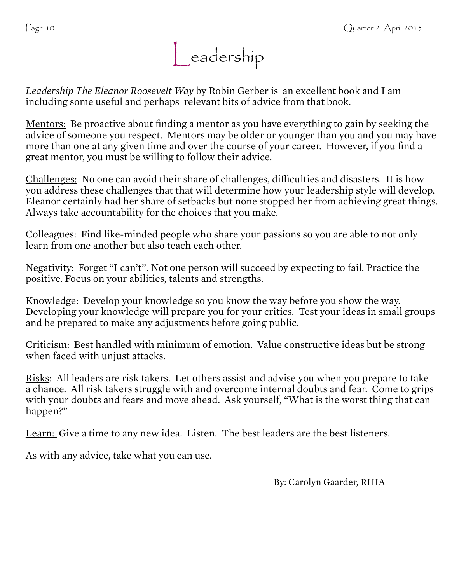

*Leadership The Eleanor Roosevelt Way* by Robin Gerber is an excellent book and I am including some useful and perhaps relevant bits of advice from that book.

Mentors: Be proactive about finding a mentor as you have everything to gain by seeking the advice of someone you respect. Mentors may be older or younger than you and you may have more than one at any given time and over the course of your career. However, if you find a great mentor, you must be willing to follow their advice.

Challenges: No one can avoid their share of challenges, difficulties and disasters. It is how you address these challenges that that will determine how your leadership style will develop. Eleanor certainly had her share of setbacks but none stopped her from achieving great things. Always take accountability for the choices that you make.

Colleagues: Find like-minded people who share your passions so you are able to not only learn from one another but also teach each other.

Negativity: Forget "I can't". Not one person will succeed by expecting to fail. Practice the positive. Focus on your abilities, talents and strengths.

Knowledge: Develop your knowledge so you know the way before you show the way. Developing your knowledge will prepare you for your critics. Test your ideas in small groups and be prepared to make any adjustments before going public.

Criticism: Best handled with minimum of emotion. Value constructive ideas but be strong when faced with unjust attacks.

Risks: All leaders are risk takers. Let others assist and advise you when you prepare to take a chance. All risk takers struggle with and overcome internal doubts and fear. Come to grips with your doubts and fears and move ahead. Ask yourself, "What is the worst thing that can happen?"

Learn: Give a time to any new idea. Listen. The best leaders are the best listeners.

As with any advice, take what you can use.

By: Carolyn Gaarder, RHIA